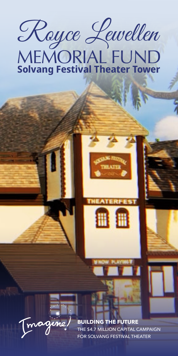Royce Lewellen

# MEMORIAL FUND **Solvang Festival Theater Tower**



A A



**BUILDING THE FUTURE** THE \$4.7 MILLION CAPITAL CAMPAIGN FOR SOLVANG FESTIVAL THEATER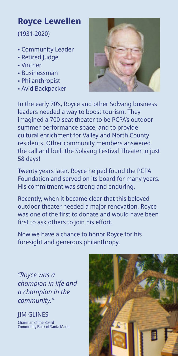# **Royce Lewellen**

(1931-2020)

- Community Leader
- Retired Judge
- Vintner
- Businessman
- Philanthropist
- Avid Backpacker



In the early 70's, Royce and other Solvang business leaders needed a way to boost tourism. They imagined a 700-seat theater to be PCPA's outdoor summer performance space, and to provide cultural enrichment for Valley and North County residents. Other community members answered the call and built the Solvang Festival Theater in just 58 days!

Twenty years later, Royce helped found the PCPA Foundation and served on its board for many years. His commitment was strong and enduring.

Recently, when it became clear that this beloved outdoor theater needed a major renovation, Royce was one of the first to donate and would have been first to ask others to join his effort.

Now we have a chance to honor Royce for his foresight and generous philanthropy.

*"Royce was a champion in life and a champion in the community."*

JIM GLINES

Chairman of the Board Community Bank of Santa Maria

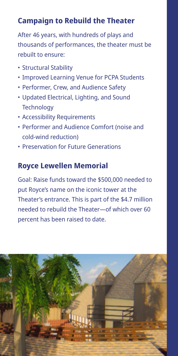## **Campaign to Rebuild the Theater**

After 46 years, with hundreds of plays and thousands of performances, the theater must be rebuilt to ensure:

- Structural Stability
- Improved Learning Venue for PCPA Students
- Performer, Crew, and Audience Safety
- Updated Electrical, Lighting, and Sound **Technology**
- Accessibility Requirements
- Performer and Audience Comfort (noise and cold-wind reduction)
- Preservation for Future Generations

#### **Royce Lewellen Memorial**

Goal: Raise funds toward the \$500,000 needed to put Royce's name on the iconic tower at the Theater's entrance. This is part of the \$4.7 million needed to rebuild the Theater—of which over 60 percent has been raised to date.